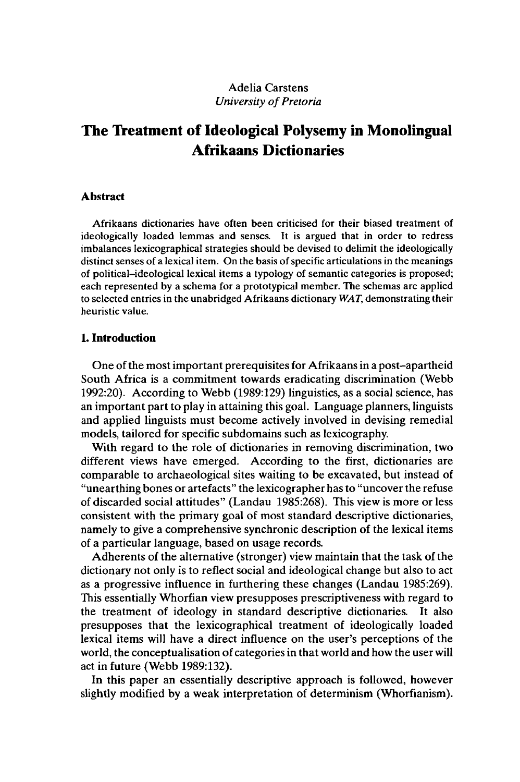# Adelia Carstens *University of Pretoria*

# **The Treatment of Ideological Polysemy in Monolingual Afrikaans Dictionaries**

#### **Abstract**

Afrikaans dictionaries have often been criticised for their biased treatment of ideologically loaded lemmas and senses. It is argued that in order to redress imbalances lexicographical strategies should be devised to delimit the ideologically distinct senses of a lexical item. On the basis of specific articulations in the meanings of political-ideological lexical items a typology of semantic categories is proposed; each represented by a schema for a prototypical member. The schemas are applied to selected entries in the unabridged Afrikaans dictionary *WAT,* demonstrating their heuristic value.

# **1. Introduction**

One of the most important prerequisites for Afrikaans in a post-apartheid South Africa is a commitment towards eradicating discrimination (Webb 1992:20). According to Webb (1989:129) linguistics, as a social science, has an important part to play in attaining this goal. Language planners, linguists and applied linguists must become actively involved in devising remedial models, tailored for specific subdomains such as lexicography.

With regard to the role of dictionaries in removing discrimination, two different views have emerged. According to the first, dictionaries are comparable to archaeological sites waiting to be excavated, but instead of "unearthing bones or artefacts" the lexicographer has to "uncover the refuse of discarded social attitudes" (Landau 1985:268). This view is more or less consistent with the primary goal of most standard descriptive dictionaries, namely to give a comprehensive synchronic description of the lexical items of a particular language, based on usage records.

Adherents of the alternative (stronger) view maintain that the task of the dictionary not only is to reflect social and ideological change but also to act as a progressive influence in furthering these changes (Landau 1985:269). This essentially Whorfian view presupposes prescriptiveness with regard to the treatment of ideology in standard descriptive dictionaries. It also presupposes that the lexicographical treatment of ideologically loaded lexical items will have a direct influence on the user's perceptions of the world, the conceptualisation of categoriesin that world and how the user will act in future (Webb 1989:132).

In this paper an essentially descriptive approach is followed, however slightly modified by a weak interpretation of determinism (Whorfianism).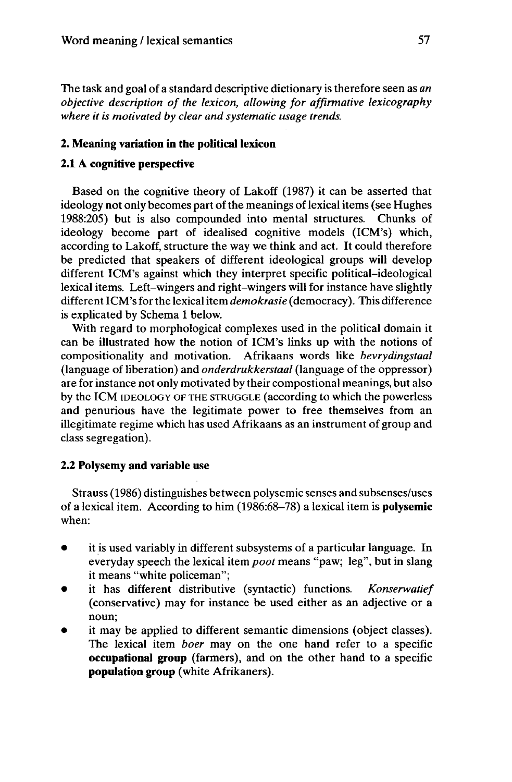The task and goal of a standard descriptive dictionary is therefore seen as *an objective description of the lexicon, allowing for affirmative lexicography where it is motivated by clear and systematic usage trends.*

# **2. Meaning variation in the political lexicon**

#### **2.1 A cognitive perspective**

Based on the cognitive theory of Lakoff (1987) it can be asserted that ideology not only becomes part of the meanings of lexical items (see Hughes 1988:205) but is also compounded into mental structures. Chunks of ideology become part of idealised cognitive models (ICM's) which, according to Lakoff, structure the way we think and act. It could therefore be predicted that speakers of different ideological groups will develop different ICM's against which they interpret specific political-ideological lexical items. Left-wingers and right-wingers will for instance have slightly different ICM'sfor the lexicalitem *demokrasie* (democracy). This difference is explicated by Schema <sup>1</sup> below.

With regard to morphological complexes used in the political domain it can be illustrated how the notion of ICM's links up with the notions of compositionality and motivation. Afrikaans words like *bevrydingstaal* (language of liberation) and *onderdrukkerstaal* (language of the oppressor) are for instance not only motivated by their compostional meanings, but also by the ICM IDEOLOGY OF THE STRUGGLE (according to which the powerless and penurious have the legitimate power to free themselves from an illegitimate regime which has used Afrikaans as an instrument of group and class segregation).

#### **2.2 Polysemy and variable use**

Strauss (1986) distinguishes between polysemic senses and subsenses/uses of a lexical item. According to him (1986:68•78) a lexical item is **polysémie** when:

- it is used variably in different subsystems of a particular language. In everyday speech the lexical item *pool* means "paw; leg", but in slang it means "white policeman";
- it has different distributive (syntactic) functions. *Konserwatief* (conservative) may for instance be used either as an adjective or a noun;
- it may be applied to different semantic dimensions (object classes). The lexical item *boer* may on the one hand refer to a specific **occupational group** (farmers), and on the other hand to a specific **population group** (white Afrikaners).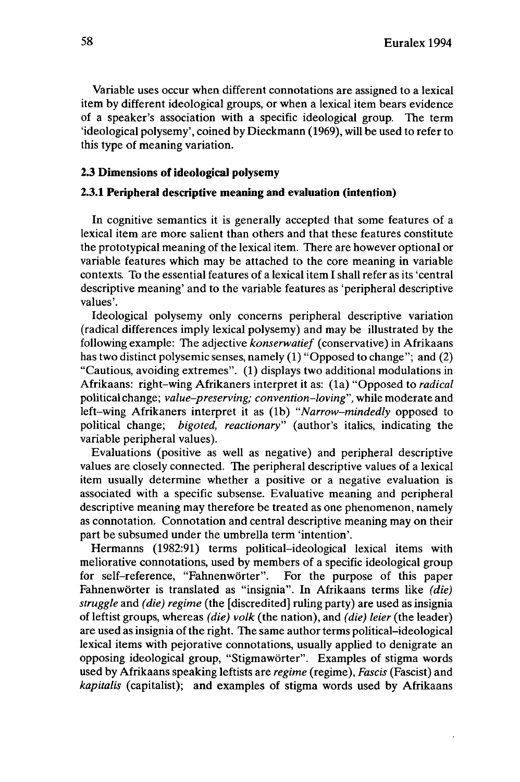Variable uses occur when different connotations are assigned to a lexical item by different ideological groups, or when a lexical item bears evidence of a speaker's association with a specific ideological group. The term 'ideological polysemy', coined by Dieckmann (1969), will be used to refer to this type of meaning variation.

# **2.3 Dimensions ofideological polysemy**

#### **2.3.1 Peripheral descriptive meaning and evaluation (intention)**

In cognitive semantics it is generally accepted that some features of a lexical item are more salient than others and that these features constitute the prototypical meaning of the lexical item. There are however optional or variable features which may be attached to the core meaning in variable contexts. To the essential features of a lexical item I shall refer as its 'central descriptive meaning' and to the variable features as 'peripheral descriptive values'.

Ideological polysemy only concerns peripheral descriptive variation (radical differences imply lexical polysemy) and may be illustrated by the following example: The adjective *konserwatief* (conservative) in Afrikaans has two distinct polysemic senses, namely (1) "Opposed to change"; and (2) "Cautious, avoiding extremes". (1) displays two additional modulations in Afrikaans: right-wing Afrikaners interpret it as: (la) "Opposed to *radical* political change; *value-preserving; convention-loving",* while moderate and left-wing Afrikaners interpret it as (lb) *"Narrow-mindedly* opposed to political change; *bigoted, reactionary"* (author's italics, indicating the variable peripheral values).

Evaluations (positive as well as negative) and peripheral descriptive values are closely connected. The peripheral descriptive values of a lexical item usually determine whether a positive or a negative evaluation is associated with a specific subsense. Evaluative meaning and peripheral descriptive meaning may therefore be treated as one phenomenon, namely as connotation. Connotation and central descriptive meaning may on their part be subsumed under the umbrella term 'intention'.

Hermanns (1982:91) terms political-ideological lexical items with meliorative connotations, used by members of a specific ideological group for self-reference, "Fahnenwörter". For the purpose of this paper Fahnenwörter is translated as "insignia". In Afrikaans terms like *(die) struggle* and *(die) regime* (the [discredited] ruling party) are used as insignia of leftist groups, whereas *(die) volk* (the nation), and *(die) leier* (the leader) are used as insignia of the right. The same author terms political-ideological lexical items with pejorative connotations, usually applied to denigrate an opposing ideological group, "Stigmawörter". Examples of stigma words used by Afrikaans speaking leftists are *regime* (regime), *Fastis* (Fascist) and *kapitalis* (capitalist); and examples of stigma words used by Afrikaans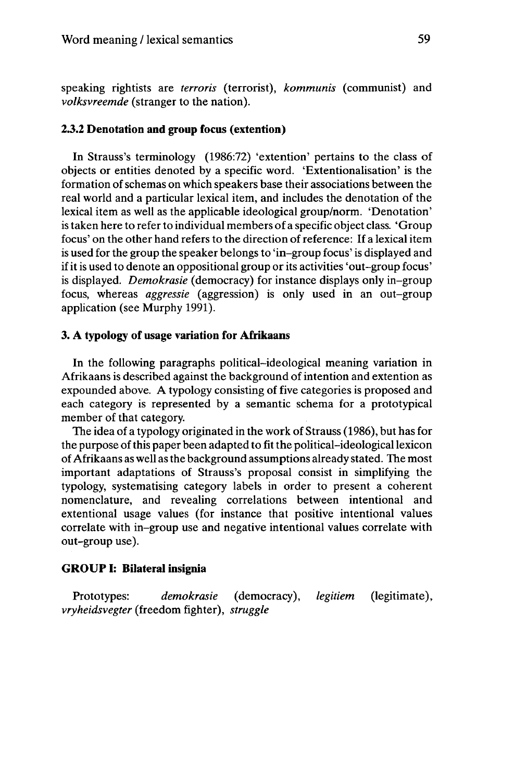speaking rightists are *terroris* (terrorist), *kommunis* (communist) and *volksvreemde* (stranger to the nation).

## **2.3.2 Denotation and group focus (extention)**

In Strauss's terminology (1986:72) 'extention' pertains to the class of objects or entities denoted by a specific word. 'Extentionalisation' is the formation of schemas on which speakers base their associations between the real world and a particular lexical item, and includes the denotation of the lexical item as well as the applicable ideological group/norm. 'Denotation' is taken here to refer to individual members of a specific object class. 'Group focus' on the other hand refers to the direction of reference: If a lexical item is used for the group the speaker belongs to 'in-group focus' is displayed and ifitis used to denote an oppositional group or its activities 'out-group focus' is displayed. *Demokrasie* (democracy) for instance displays only in-group focus, whereas *aggressie* (aggression) is only used in an out-group application (see Murphy 1991).

#### **3. A typology of usage variation for Afrikaans**

In the following paragraphs political-ideological meaning variation in Afrikaans is described against the background of intention and extention as expounded above. A typology consisting of five categories is proposed and each category is represented by a semantic schema for a prototypical member of that category.

The idea of a typology originated in the work of Strauss (1986), but has for the purpose ofthis paper been adapted to fitthe political-ideologicallexicon ofAfrikaans as well as the background assumptions already stated. The most important adaptations of Strauss's proposal consist in simplifying the typology, systematising category labels in order to present a coherent nomenclature, and revealing correlations between intentional and extentional usage values (for instance that positive intentional values correlate with in-group use and negative intentional values correlate with out-group use).

#### **GROUP I: Bilateral insignia**

Prototypes: *demokrasie* (democracy), *legitiem* (legitimate), *vryheidsvegter* (freedom fighter), *struggle*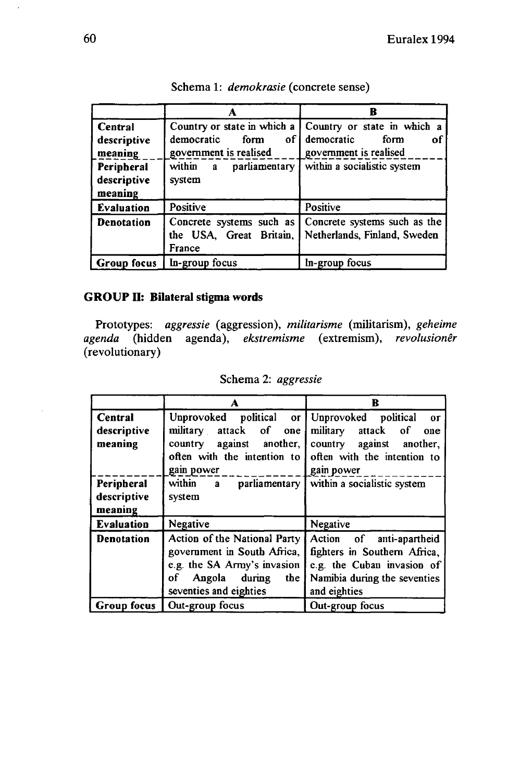|                                                                                  |                                                                                                           | R                                                                                                                                       |
|----------------------------------------------------------------------------------|-----------------------------------------------------------------------------------------------------------|-----------------------------------------------------------------------------------------------------------------------------------------|
| <b>Central</b><br>descriptive<br>meaning<br>Peripheral<br>descriptive<br>meaning | Country or state in which a<br>democratic<br>of i<br>form<br>government is realised<br>within a<br>system | Country or state in which a<br>democratic<br>form<br>οf<br>government is realised<br>$\text{parliamentary}$ within a socialistic system |
| <b>Evaluation</b>                                                                | Positive                                                                                                  | Positive                                                                                                                                |
| <b>Denotation</b>                                                                | Concrete systems such as<br>the USA. Great Britain, I<br>France                                           | Concrete systems such as the<br>Netherlands, Finland, Sweden                                                                            |
| <b>Group focus</b>                                                               | In-group focus                                                                                            | In-group focus                                                                                                                          |

|  |  | Schema 1: <i>demokrasie</i> (concrete sense) |
|--|--|----------------------------------------------|
|--|--|----------------------------------------------|

# **GROUP II: Bilateral stigma words**

Prototypes: *aggressie* (aggression), *militarisme* (militarism), *geheime agenda* (hidden agenda), *ekstremisme* (extremism), *revolusionêr* (revolutionary)

|  |  | Schema 2: aggressie |
|--|--|---------------------|
|--|--|---------------------|

|                                      | A                                                                                                                                                    | в                                                                                                                                      |
|--------------------------------------|------------------------------------------------------------------------------------------------------------------------------------------------------|----------------------------------------------------------------------------------------------------------------------------------------|
| Central<br>descriptive<br>meaning    | Unprovoked political or Unprovoked political<br>military attack of one<br>country against another,<br>often with the intention to<br>gain power      | or<br>military attack of<br>one<br>country against another,<br>often with the intention to<br>gain power                               |
| Peripheral<br>descriptive<br>meaning | within $\alpha$ parliamentary within a socialistic system<br>system                                                                                  |                                                                                                                                        |
| <b>Evaluation</b>                    | Negative                                                                                                                                             | Negative                                                                                                                               |
| <b>Denotation</b>                    | Action of the National Party<br>government in South Africa,<br>e.g. the SA Army's invasion<br>of<br>Angola during<br>the  <br>seventies and eighties | Action of anti-apartheid<br>fighters in Southern Africa,<br>e.g. the Cuban invasion of<br>Namibia during the seventies<br>and eighties |
| <b>Group focus</b>                   | Out-group focus                                                                                                                                      | Out-group focus                                                                                                                        |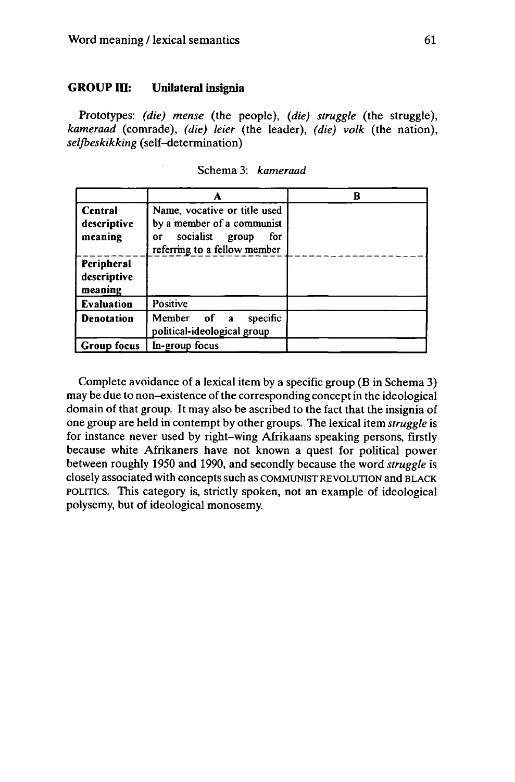# GROUP III: Unilateral insignia

Prototypes: *(die) mense* (the people), *(die) struggle* (the struggle), *kameraad* (comrade), *(die) leier* (the leader), *(die) volk* (the nation), *selfbeskikking* (self-determination)

|                                      | А                                                                                                                             | R |
|--------------------------------------|-------------------------------------------------------------------------------------------------------------------------------|---|
| Central<br>descriptive<br>meaning    | Name, vocative or title used<br>by a member of a communist<br>socialist<br>group<br>for<br>0r<br>referring to a fellow member |   |
| Peripheral<br>descriptive<br>meaning |                                                                                                                               |   |
| <b>Evaluation</b>                    | <b>Positive</b>                                                                                                               |   |
| <b>Denotation</b>                    | specific<br>Member of a<br>political-ideological group                                                                        |   |
| <b>Group focus</b>                   | In-group focus                                                                                                                |   |

Schema 3: *kameraad*

Complete avoidance of a lexical item by a specific group (B in Schema 3) may be due to non-existence of the corresponding concept in the ideological domain of that group. It may also be ascribed to the fact that the insignia of one group are held in contempt by other groups. The lexical item *struggle* is for instance never used by right-wing Afrikaans speaking persons, firstly because white Afrikaners have not known a quest for political power between roughly 1950 and 1990, and secondly because the word *struggle* is closely associated with conceptssuch as COMMUNIST REVOLUTION and BLACK POLITICS. This category is, strictly spoken, not an example of ideological polysemy, but of ideological monosemy.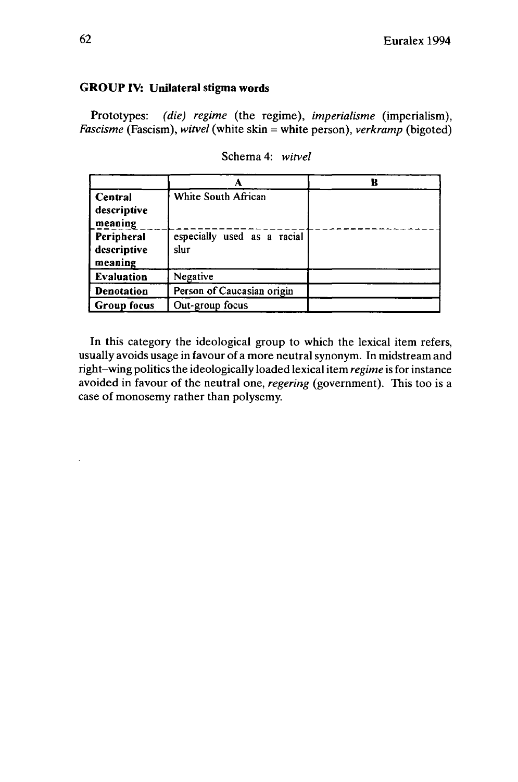# **GROUP IV: Unilateral stigma words**

Prototypes: *(die) regime* (the regime), *imperialisme* (imperialism), *Fascisme* (Fascism), *witvel* (white skin = white person), *verkramp* (bigoted)

|                    |                             | B |
|--------------------|-----------------------------|---|
| Central            | White South African         |   |
| descriptive        |                             |   |
| meaning            |                             |   |
| Peripheral         | especially used as a racial |   |
| descriptive        | slur                        |   |
| meaning            |                             |   |
| Evaluation         | Negative                    |   |
| <b>Denotation</b>  | Person of Caucasian origin  |   |
| <b>Group focus</b> | Out-group focus             |   |

Schema 4: *witvel*

In this category the ideological group to which the lexical item refers, usually avoids usage in favour of a more neutral synonym. In midstream and right-wing politicsthe ideologically loaded lexical item *regime* is for instance avoided in favour of the neutral one, *regering* (government). This too is a case of monosemy rather than polysemy.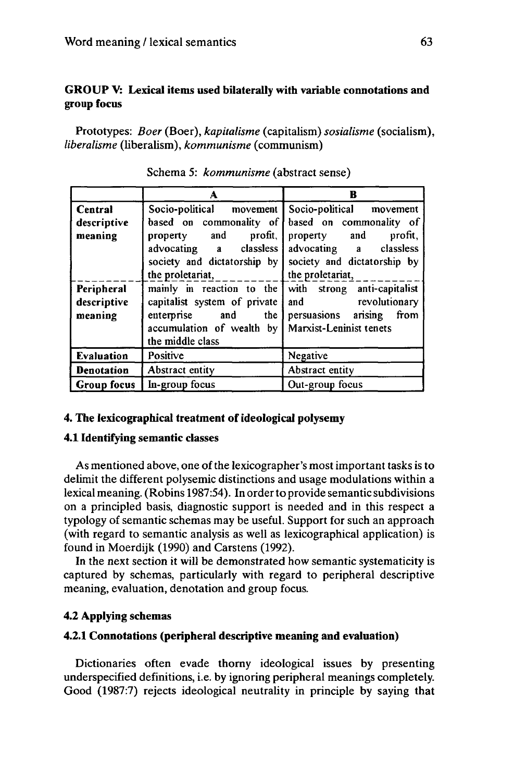# **GROUP V: Lexical items used bilaterally with variable connotations and group focus**

Prototypes: *Boer* (Boer), *kapitalisme* (capitalism) *sosialisme* (socialism), *libéralisme* (liberalism), *kommunisme* (communism)

|                                      | А                                                                                                                             | B                                                                                                                                          |
|--------------------------------------|-------------------------------------------------------------------------------------------------------------------------------|--------------------------------------------------------------------------------------------------------------------------------------------|
| <b>Central</b>                       | Socio-political movement                                                                                                      | Socio-political movement                                                                                                                   |
| descriptive<br>meaning               | based on commonality of<br>property and profit,<br>advocating a classless<br>society and dictatorship by                      | based on commonality of<br>property and profit,<br>advocating a classless<br>society and dictatorship by<br>the proletariat, $\frac{1}{2}$ |
| Peripheral<br>descriptive<br>meaning | capitalist system of private<br>enterprise and the<br>accumulation of wealth by   Marxist-Leninist tenets<br>the middle class | mainly in reaction to the with strong anti-capitalist<br>and revolutionary<br>persuasions arising from                                     |
| Evaluation                           | Positive                                                                                                                      | Negative                                                                                                                                   |
| Denotation                           | Abstract entity                                                                                                               | Abstract entity                                                                                                                            |
| Group focus                          | In-group focus                                                                                                                | Out-group focus                                                                                                                            |

Schema 5: *kommunisme* (abstract sense)

# **4. The lexicographical treatment ofideological polysemy**

#### **4.1 Identifying semantic classes**

As mentioned above, one of the lexicographer's most important tasks is to delimit the different polysemic distinctions and usage modulations within a lexical meaning. (Robins 1987:54). In orderto provide semantic subdivisions on a principled basis, diagnostic support is needed and in this respect a typology of semantic schemas may be useful. Support for such an approach (with regard to semantic analysis as well as lexicographical application) is found in Moerdijk (1990) and Carstens (1992).

In the next section it will be demonstrated how semantic systematicity is captured by schemas, particularly with regard to peripheral descriptive meaning, evaluation, denotation and group focus.

# **4.2 Applying schémas**

# **4.2.1 Connotations (peripheral descriptive meaning and evaluation)**

Dictionaries often evade thorny ideological issues by presenting underspecified definitions, i.e. by ignoring peripheral meanings completely. Good (1987:7) rejects ideological neutrality in principle by saying that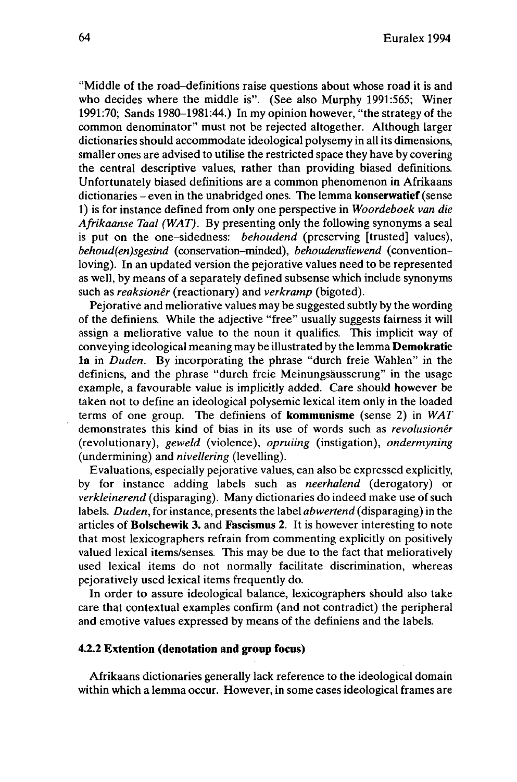"Middle of the road-definitions raise questions about whose road it is and who decides where the middle is". (See also Murphy 1991:565; Winer 1991:70; Sands 1980-1981:44.) In my opinion however, "the strategy of the common denominator" must not be rejected altogether. Although larger dictionaries should accommodate ideological polysemy in all its dimensions, smaller ones are advised to utilise the restricted space they have by covering the central descriptive values, rather than providing biased definitions. Unfortunately biased definitions are a common phenomenon in Afrikaans dictionaries - even in the unabridged ones. The lemma **konserwarief** (sense 1) is for instance defined from only one perspective in *Woordeboek van die Afrikaanse Taal (WAT).* By presenting only the following synonyms a seal is put on the one-sidedness: *behoudend* (preserving [trusted] values), *behoud(en)sgesind* (conservation-minded), *behoudensliewend* (conventionloving). In an updated version the pejorative values need to be represented as well, by means of a separately defined subsense which include synonyms such as *reaksionêr* (reactionary) and *verkramp* (bigoted).

Pejorative and meliorative values may be suggested subtly by the wording of the definiens. While the adjective "free" usually suggests fairness it will assign a meliorative value to the noun it qualifies. This implicit way of conveying ideological meaning may be illustrated by the lemma **Demokratie la** in *Duden.* By incorporating the phrase "durch freie Wahlen" in the definiens, and the phrase "durch freie Meinungsäusserung" in the usage example, a favourable value is implicitly added. Care should however be taken not to define an ideological polysemic lexical item only in the loaded terms of one group. The definiens of **kommunisme** (sense 2) in *WAT* demonstrates this kind of bias in its use of words such as *revolusionêr* (revolutionary), *geweld* (violence), *opruiing* (instigation), *ondermyning* (undermining) and *nivellering* (levelling).

Evaluations, especially pejorative values, can also be expressed explicitly, by for instance adding labels such as *neerhalend* (derogatory) or *verkleinerend* (disparaging). Many dictionaries do indeed make use of such labels. *Duden,* for instance, presents the label *abwertend* (disparaging) in the articles of **Bolschewik 3.** and **Fascismus 2.** It is however interesting to note that most lexicographers refrain from commenting explicitly on positively valued lexical items/senses. This may be due to the fact that melioratively used lexical items do not normally facilitate discrimination, whereas pejoratively used lexical items frequently do.

In order to assure ideological balance, lexicographers should also take care that contextual examples confirm (and not contradict) the peripheral and emotive values expressed by means of the definiens and the labels.

#### **4.2.2 Extention (denotation and group focus)**

Afrikaans dictionaries generally lack reference to the ideological domain within which a lemma occur. However, in some cases ideological frames are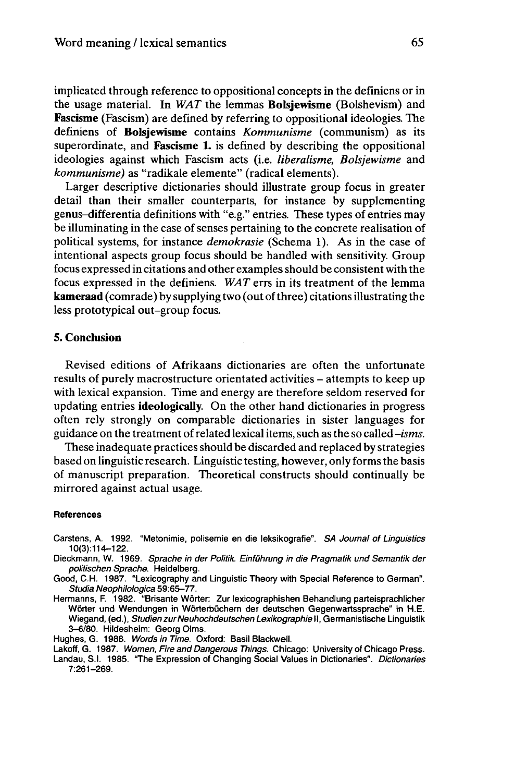implicated through reference to oppositional concepts in the definiens or in the usage material. In *WAT* the lemmas **Bolsjewisme** (Bolshevism) and **Fascisme** (Fascism) are defined by referring to oppositional ideologies. The definiens of **Bolsjewisme** contains *Kommunisme* (communism) as its superordinate, and **Fascisme** 1. is defined by describing the oppositional ideologies against which Fascism acts (i.e. *libéralisme, Bolsjewisme* and *kommunisme)* as "radikale elemente" (radical elements).

Larger descriptive dictionaries should illustrate group focus in greater detail than their smaller counterparts, for instance by supplementing genus-differentia definitions with "e.g." entries. These types of entries may be illuminating in the case of senses pertaining to the concrete realisation of political systems, for instance *demokrasie* (Schema 1). As in the case of intentional aspects group focus should be handled with sensitivity. Group focus expressed in citations and other examples should be consistent with the focus expressed in the definiens. *WAT* errs in its treatment of the lemma **kameraad** (comrade) by supplying two (out ofthree) citationsillustrating the less prototypical out-group focus.

#### **5. Conclusion**

Revised editions of Afrikaans dictionaries are often the unfortunate results of purely macrostructure orientated activities – attempts to keep up with lexical expansion. Time and energy are therefore seldom reserved for updating entries **ideologically.** On the other hand dictionaries in progress often rely strongly on comparable dictionaries in sister languages for guidance on the treatment ofrelated lexicalitems, such as the so called *-isms.*

These inadequate practices should be discarded and replaced by strategies based on linguistic research. Linguistic testing, however, only formsthe basis of manuscript preparation. Theoretical constructs should continually be mirrored against actual usage.

#### **References**

- Carstens, A. 1992. "Metonimie, polisemie en die leksikografie". SA Journal of Linguistics 10(3):114-122.
- Dieckmann, W. 1969. Sprache in der Politik. Einführung in die Pragmatik und Semantik der politischen Sprache. Heidelberg.
- Good, C.H. 1987. "Lexicography and Linguistic Theory with Special Reference to German". Studia Neophilologica 59:65-77.
- Hermanns, F. 1982. "Brisante Wörter: Zur lexicographishen Behandlung parteisprachlicher Wörter und Wendungen in Wörterbüchern der deutschen Gegenwartssprache" in H.E. Wiegand, (ed.), Studien zur Neuhochdeutschen Lexikographie II, Germanistische Linguistik 3-6/80. Hildesheim: Georg Olms.

Hughes, G. 1988. Words in Time. Oxford: Basil Blackwell.

Lakoff, G. 1987. Women, Fire and Dangerous Things. Chicago: University of Chicago Press. Landau, S.I. 1985. "The Expression of Changing Social Values in Dictionaries". Dictionaries 7:261-269.